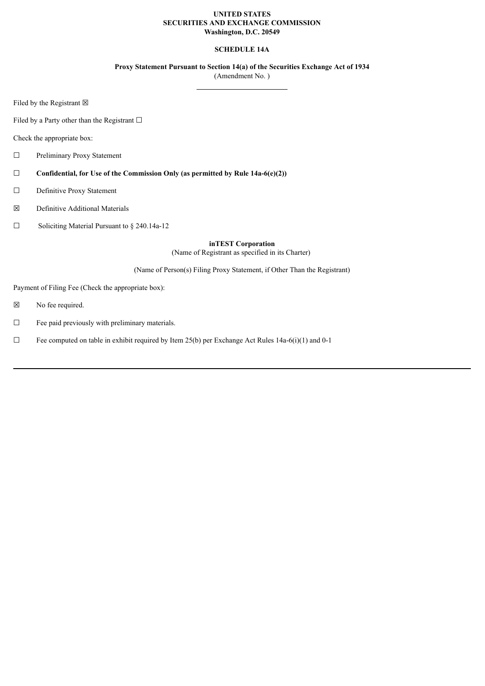## **UNITED STATES SECURITIES AND EXCHANGE COMMISSION Washington, D.C. 20549**

# **SCHEDULE 14A**

**Proxy Statement Pursuant to Section 14(a) of the Securities Exchange Act of 1934**

(Amendment No. )

Filed by the Registrant  $\boxtimes$ 

Filed by a Party other than the Registrant  $□$ 

Check the appropriate box:

- ☐ Preliminary Proxy Statement
- ☐ **Confidential, for Use of the Commission Only (as permitted by Rule 14a-6(e)(2))**
- ☐ Definitive Proxy Statement
- ☒ Definitive Additional Materials
- ☐ Soliciting Material Pursuant to § 240.14a-12

**inTEST Corporation** (Name of Registrant as specified in its Charter)

(Name of Person(s) Filing Proxy Statement, if Other Than the Registrant)

Payment of Filing Fee (Check the appropriate box):

- ☒ No fee required.
- ☐ Fee paid previously with preliminary materials.
- $\Box$  Fee computed on table in exhibit required by Item 25(b) per Exchange Act Rules 14a-6(i)(1) and 0-1